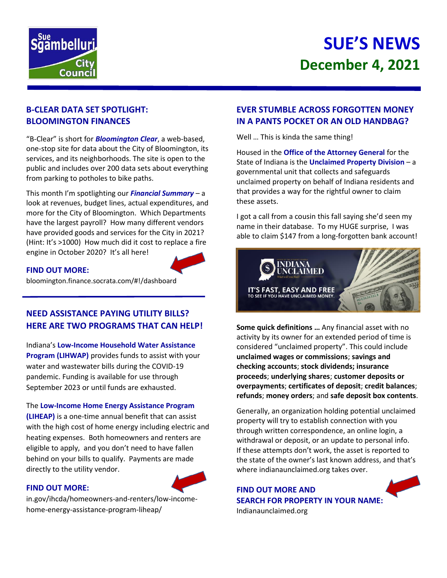

# **SUE'S NEWS December 4, 2021**

## **B-CLEAR DATA SET SPOTLIGHT: BLOOMINGTON FINANCES**

"B-Clear" is short for *Bloomington Clear*, a web-based, one-stop site for data about the City of Bloomington, its services, and its neighborhoods. The site is open to the public and includes over 200 data sets about everything from parking to potholes to bike paths.

This month I'm spotlighting our *Financial Summary* – a look at revenues, budget lines, actual expenditures, and more for the City of Bloomington. Which Departments have the largest payroll? How many different vendors have provided goods and services for the City in 2021? (Hint: It's >1000) How much did it cost to replace a fire engine in October 2020? It's all here!



#### **FIND OUT MORE:**

bloomington.finance.socrata.com/#!/dashboard

## **NEED ASSISTANCE PAYING UTILITY BILLS? HERE ARE TWO PROGRAMS THAT CAN HELP!**

Indiana's **Low-Income Household Water Assistance Program (LIHWAP)** provides funds to assist with your water and wastewater bills during the COVID-19 pandemic. Funding is available for use through September 2023 or until funds are exhausted.

The **Low-Income Home Energy Assistance Program** 

**(LIHEAP)** is a one-time annual benefit that can assist with the high cost of home energy including electric and heating expenses. Both homeowners and renters are eligible to apply, and you don't need to have fallen behind on your bills to qualify. Payments are made directly to the utility vendor.

#### **FIND OUT MORE:**

in.gov/ihcda/homeowners-and-renters/low-incomehome-energy-assistance-program-liheap/

## **EVER STUMBLE ACROSS FORGOTTEN MONEY IN A PANTS POCKET OR AN OLD HANDBAG?**

Well … This is kinda the same thing!

Housed in the **Office of the Attorney General** for the State of Indiana is the **Unclaimed Property Division** – a governmental unit that collects and safeguards unclaimed property on behalf of Indiana residents and that provides a way for the rightful owner to claim these assets.

I got a call from a cousin this fall saying she'd seen my name in their database. To my HUGE surprise, I was able to claim \$147 from a long-forgotten bank account!



**Some quick definitions …** Any financial asset with no activity by its owner for an extended period of time is considered "unclaimed property". This could include **unclaimed wages or commissions**; **savings and checking accounts**; **stock dividends; insurance proceeds**; **underlying shares**; **customer deposits or overpayments**; **certificates of deposit**; **credit balances**; **refunds**; **money orders**; and **safe deposit box contents**.

Generally, an organization holding potential unclaimed property will try to establish connection with you through written correspondence, an online login, a withdrawal or deposit, or an update to personal info. If these attempts don't work, the asset is reported to the state of the owner's last known address, and that's where indianaunclaimed.org takes over.

**FIND OUT MORE AND SEARCH FOR PROPERTY IN YOUR NAME:** Indianaunclaimed.org